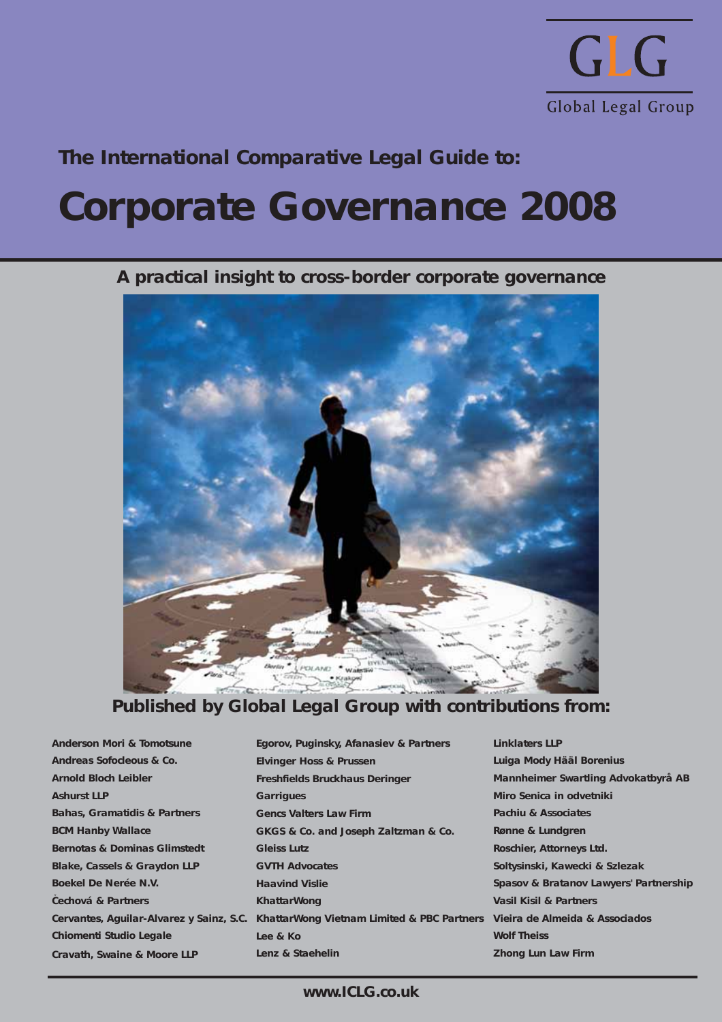

## **The International Comparative Legal Guide to:**

## **Corporate Governance 2008**

**A practical insight to cross-border corporate governance**



## **Published by Global Legal Group with contributions from:**

**Anderson Mori & Tomotsune Andreas Sofocleous & Co. Arnold Bloch Leibler Ashurst LLP Bahas, Gramatidis & Partners BCM Hanby Wallace Bernotas & Dominas Glimstedt Blake, Cassels & Graydon LLP Boekel De Nerée N.V. Cechová & Partners** v**Cervantes, Aguilar-Alvarez y Sainz, S.C. Chiomenti Studio Legale Cravath, Swaine & Moore LLP**

**Egorov, Puginsky, Afanasiev & Partners Elvinger Hoss & Prussen Freshfields Bruckhaus Deringer Garrigues Gencs Valters Law Firm GKGS & Co. and Joseph Zaltzman & Co. Gleiss Lutz GVTH Advocates Haavind Vislie KhattarWong KhattarWong Vietnam Limited & PBC Partners Lee & Ko Lenz & Staehelin**

**Linklaters LLP Luiga Mody Hääl Borenius Mannheimer Swartling Advokatbyrå AB Miro Senica in odvetniki Pachiu & Associates Rønne & Lundgren Roschier, Attorneys Ltd. Soltysinski, Kawecki & Szlezak Spasov & Bratanov Lawyers' Partnership Vasil Kisil & Partners Vieira de Almeida & Associados Wolf Theiss Zhong Lun Law Firm**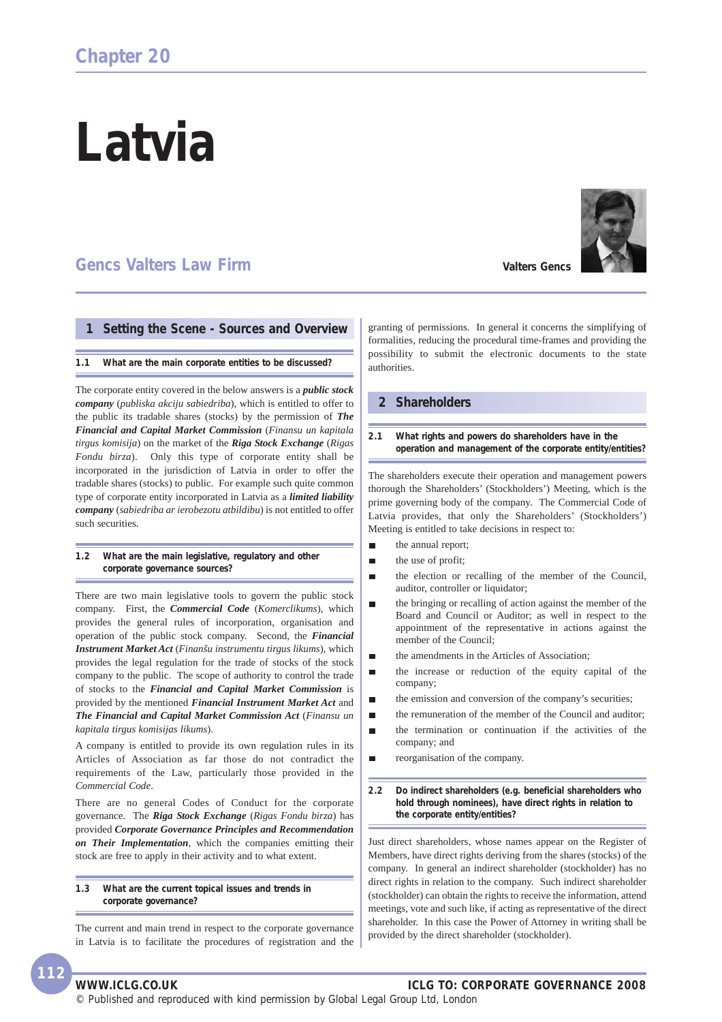# **Latvia**

## **Gencs Valters Law Firm**

#### **1 Setting the Scene - Sources and Overview**

#### **1.1 What are the main corporate entities to be discussed?**

The corporate entity covered in the below answers is a *public stock company* (*publiska akciju sabiedriba*), which is entitled to offer to the public its tradable shares (stocks) by the permission of *The Financial and Capital Market Commission* (*Finansu un kapitala tirgus komisija*) on the market of the *Riga Stock Exchange* (*Rigas Fondu birza*). Only this type of corporate entity shall be incorporated in the jurisdiction of Latvia in order to offer the tradable shares (stocks) to public. For example such quite common type of corporate entity incorporated in Latvia as a *limited liability company* (*sabiedriba ar ierobezotu atbildibu*) is not entitled to offer such securities.

**1.2 What are the main legislative, regulatory and other corporate governance sources?**

There are two main legislative tools to govern the public stock company. First, the *Commercial Code* (*Komerclikums*), which provides the general rules of incorporation, organisation and operation of the public stock company. Second, the *Financial Instrument Market Act* (*Finanšu instrumentu tirgus likums*), which provides the legal regulation for the trade of stocks of the stock company to the public. The scope of authority to control the trade of stocks to the *Financial and Capital Market Commission* is provided by the mentioned *Financial Instrument Market Act* and *The Financial and Capital Market Commission Act* (*Finansu un kapitala tirgus komisijas likums*).

A company is entitled to provide its own regulation rules in its Articles of Association as far those do not contradict the requirements of the Law, particularly those provided in the *Commercial Code*.

There are no general Codes of Conduct for the corporate governance. The *Riga Stock Exchange* (*Rigas Fondu birza*) has provided *Corporate Governance Principles and Recommendation on Their Implementation*, which the companies emitting their stock are free to apply in their activity and to what extent.

**1.3 What are the current topical issues and trends in corporate governance?**

The current and main trend in respect to the corporate governance in Latvia is to facilitate the procedures of registration and the granting of permissions. In general it concerns the simplifying of formalities, reducing the procedural time-frames and providing the possibility to submit the electronic documents to the state authorities.

#### **2 Shareholders**

#### **2.1 What rights and powers do shareholders have in the operation and management of the corporate entity/entities?**

The shareholders execute their operation and management powers thorough the Shareholders' (Stockholders') Meeting, which is the prime governing body of the company. The Commercial Code of Latvia provides, that only the Shareholders' (Stockholders') Meeting is entitled to take decisions in respect to:

- the annual report; п
- п the use of profit;
- the election or recalling of the member of the Council, п auditor, controller or liquidator;
- the bringing or recalling of action against the member of the п Board and Council or Auditor; as well in respect to the appointment of the representative in actions against the member of the Council;
- the amendments in the Articles of Association;
- the increase or reduction of the equity capital of the É company;
- the emission and conversion of the company's securities;  $\blacksquare$
- the remuneration of the member of the Council and auditor; п
- the termination or continuation if the activities of the  $\blacksquare$ company; and
- reorganisation of the company. п

**2.2 Do indirect shareholders (e.g. beneficial shareholders who hold through nominees), have direct rights in relation to the corporate entity/entities?**

Just direct shareholders, whose names appear on the Register of Members, have direct rights deriving from the shares (stocks) of the company. In general an indirect shareholder (stockholder) has no direct rights in relation to the company. Such indirect shareholder (stockholder) can obtain the rights to receive the information, attend meetings, vote and such like, if acting as representative of the direct shareholder. In this case the Power of Attorney in writing shall be provided by the direct shareholder (stockholder).

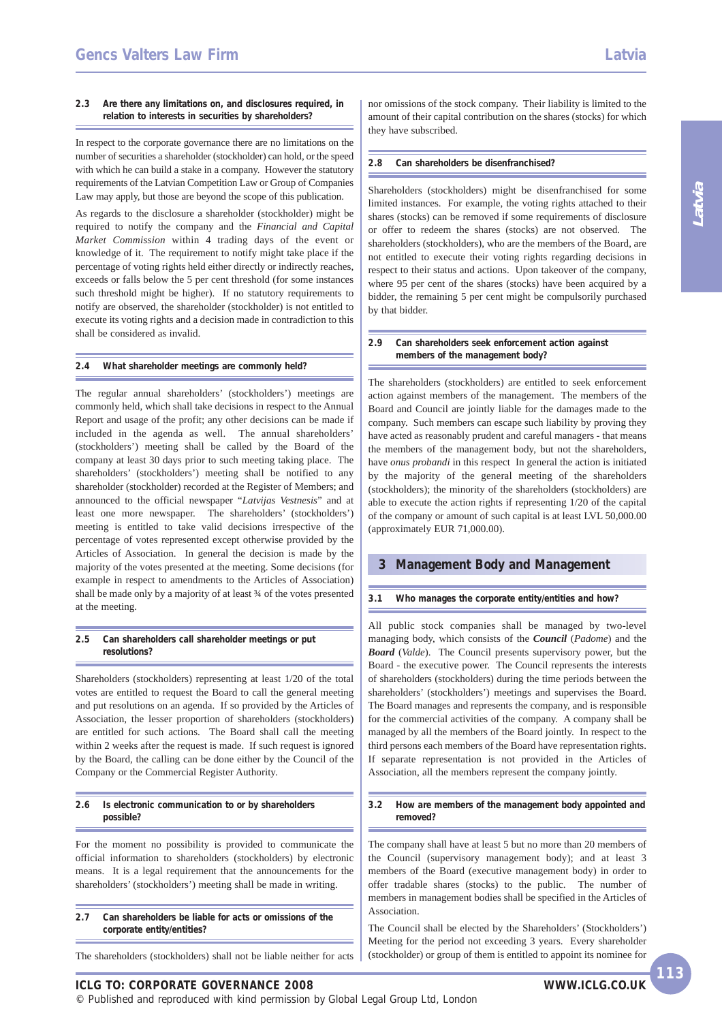#### **2.3 Are there any limitations on, and disclosures required, in relation to interests in securities by shareholders?**

In respect to the corporate governance there are no limitations on the number of securities a shareholder (stockholder) can hold, or the speed with which he can build a stake in a company. However the statutory requirements of the Latvian Competition Law or Group of Companies Law may apply, but those are beyond the scope of this publication.

As regards to the disclosure a shareholder (stockholder) might be required to notify the company and the *Financial and Capital Market Commission* within 4 trading days of the event or knowledge of it. The requirement to notify might take place if the percentage of voting rights held either directly or indirectly reaches, exceeds or falls below the 5 per cent threshold (for some instances such threshold might be higher). If no statutory requirements to notify are observed, the shareholder (stockholder) is not entitled to execute its voting rights and a decision made in contradiction to this shall be considered as invalid.

#### **2.4 What shareholder meetings are commonly held?**

The regular annual shareholders' (stockholders') meetings are commonly held, which shall take decisions in respect to the Annual Report and usage of the profit; any other decisions can be made if included in the agenda as well. The annual shareholders' (stockholders') meeting shall be called by the Board of the company at least 30 days prior to such meeting taking place. The shareholders' (stockholders') meeting shall be notified to any shareholder (stockholder) recorded at the Register of Members; and announced to the official newspaper "*Latvijas Vestnesis*" and at least one more newspaper. The shareholders' (stockholders') meeting is entitled to take valid decisions irrespective of the percentage of votes represented except otherwise provided by the Articles of Association. In general the decision is made by the majority of the votes presented at the meeting. Some decisions (for example in respect to amendments to the Articles of Association) shall be made only by a majority of at least ¾ of the votes presented at the meeting.

#### **2.5 Can shareholders call shareholder meetings or put resolutions?**

Shareholders (stockholders) representing at least 1/20 of the total votes are entitled to request the Board to call the general meeting and put resolutions on an agenda. If so provided by the Articles of Association, the lesser proportion of shareholders (stockholders) are entitled for such actions. The Board shall call the meeting within 2 weeks after the request is made. If such request is ignored by the Board, the calling can be done either by the Council of the Company or the Commercial Register Authority.

#### **2.6 Is electronic communication to or by shareholders possible?**

For the moment no possibility is provided to communicate the official information to shareholders (stockholders) by electronic means. It is a legal requirement that the announcements for the shareholders' (stockholders') meeting shall be made in writing.

**2.7 Can shareholders be liable for acts or omissions of the corporate entity/entities?**

The shareholders (stockholders) shall not be liable neither for acts

nor omissions of the stock company. Their liability is limited to the amount of their capital contribution on the shares (stocks) for which they have subscribed.

#### **2.8 Can shareholders be disenfranchised?**

Shareholders (stockholders) might be disenfranchised for some limited instances. For example, the voting rights attached to their shares (stocks) can be removed if some requirements of disclosure or offer to redeem the shares (stocks) are not observed. The shareholders (stockholders), who are the members of the Board, are not entitled to execute their voting rights regarding decisions in respect to their status and actions. Upon takeover of the company, where 95 per cent of the shares (stocks) have been acquired by a bidder, the remaining 5 per cent might be compulsorily purchased by that bidder.

#### **2.9 Can shareholders seek enforcement action against members of the management body?**

The shareholders (stockholders) are entitled to seek enforcement action against members of the management. The members of the Board and Council are jointly liable for the damages made to the company. Such members can escape such liability by proving they have acted as reasonably prudent and careful managers - that means the members of the management body, but not the shareholders, have *onus probandi* in this respect In general the action is initiated by the majority of the general meeting of the shareholders (stockholders); the minority of the shareholders (stockholders) are able to execute the action rights if representing 1/20 of the capital of the company or amount of such capital is at least LVL 50,000.00 (approximately EUR 71,000.00).

#### **3 Management Body and Management**

#### **3.1 Who manages the corporate entity/entities and how?**

All public stock companies shall be managed by two-level managing body, which consists of the *Council* (*Padome*) and the *Board* (*Valde*). The Council presents supervisory power, but the Board - the executive power. The Council represents the interests of shareholders (stockholders) during the time periods between the shareholders' (stockholders') meetings and supervises the Board. The Board manages and represents the company, and is responsible for the commercial activities of the company. A company shall be managed by all the members of the Board jointly. In respect to the third persons each members of the Board have representation rights. If separate representation is not provided in the Articles of Association, all the members represent the company jointly.

#### **3.2 How are members of the management body appointed and removed?**

The company shall have at least 5 but no more than 20 members of the Council (supervisory management body); and at least 3 members of the Board (executive management body) in order to offer tradable shares (stocks) to the public. The number of members in management bodies shall be specified in the Articles of Association.

The Council shall be elected by the Shareholders' (Stockholders') Meeting for the period not exceeding 3 years. Every shareholder (stockholder) or group of them is entitled to appoint its nominee for

© Published and reproduced with kind permission by Global Legal Group Ltd, London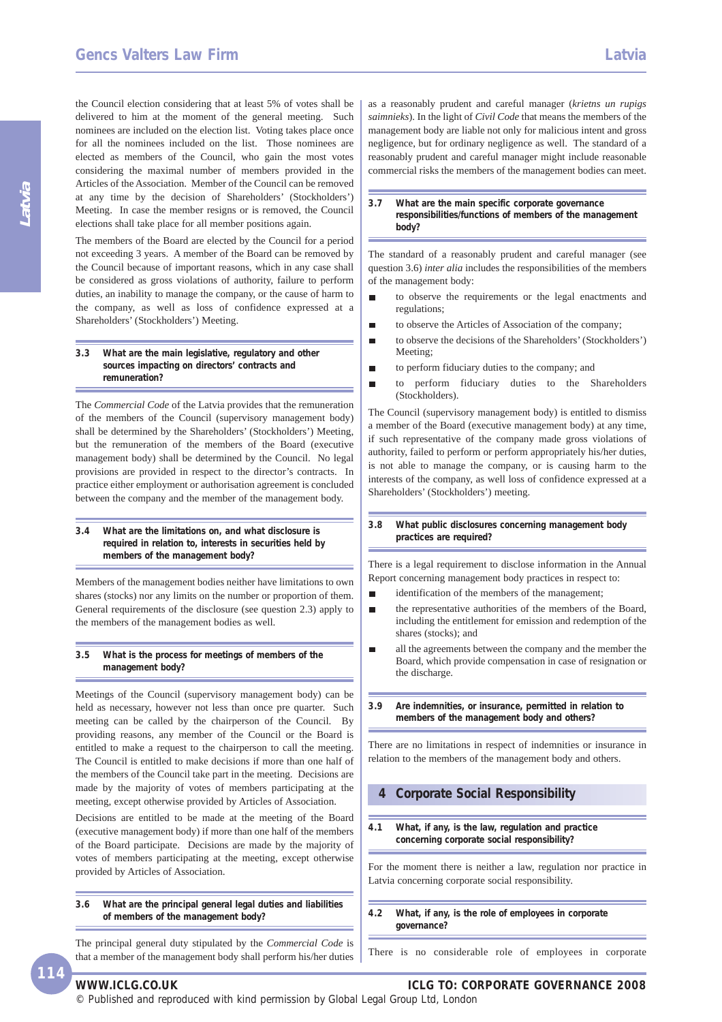the Council election considering that at least 5% of votes shall be delivered to him at the moment of the general meeting. Such nominees are included on the election list. Voting takes place once for all the nominees included on the list. Those nominees are elected as members of the Council, who gain the most votes considering the maximal number of members provided in the Articles of the Association. Member of the Council can be removed at any time by the decision of Shareholders' (Stockholders') Meeting. In case the member resigns or is removed, the Council elections shall take place for all member positions again.

The members of the Board are elected by the Council for a period not exceeding 3 years. A member of the Board can be removed by the Council because of important reasons, which in any case shall be considered as gross violations of authority, failure to perform duties, an inability to manage the company, or the cause of harm to the company, as well as loss of confidence expressed at a Shareholders' (Stockholders') Meeting.

#### **3.3 What are the main legislative, regulatory and other sources impacting on directors' contracts and remuneration?**

The *Commercial Code* of the Latvia provides that the remuneration of the members of the Council (supervisory management body) shall be determined by the Shareholders' (Stockholders') Meeting, but the remuneration of the members of the Board (executive management body) shall be determined by the Council. No legal provisions are provided in respect to the director's contracts. In practice either employment or authorisation agreement is concluded between the company and the member of the management body.

#### **3.4 What are the limitations on, and what disclosure is required in relation to, interests in securities held by members of the management body?**

Members of the management bodies neither have limitations to own shares (stocks) nor any limits on the number or proportion of them. General requirements of the disclosure (see question 2.3) apply to the members of the management bodies as well.

#### **3.5 What is the process for meetings of members of the management body?**

Meetings of the Council (supervisory management body) can be held as necessary, however not less than once pre quarter. Such meeting can be called by the chairperson of the Council. By providing reasons, any member of the Council or the Board is entitled to make a request to the chairperson to call the meeting. The Council is entitled to make decisions if more than one half of the members of the Council take part in the meeting. Decisions are made by the majority of votes of members participating at the meeting, except otherwise provided by Articles of Association.

Decisions are entitled to be made at the meeting of the Board (executive management body) if more than one half of the members of the Board participate. Decisions are made by the majority of votes of members participating at the meeting, except otherwise provided by Articles of Association.

**3.6 What are the principal general legal duties and liabilities of members of the management body?**

The principal general duty stipulated by the *Commercial Code* is that a member of the management body shall perform his/her duties as a reasonably prudent and careful manager (*krietns un rupigs saimnieks*). In the light of *Civil Code* that means the members of the management body are liable not only for malicious intent and gross negligence, but for ordinary negligence as well. The standard of a reasonably prudent and careful manager might include reasonable commercial risks the members of the management bodies can meet.

#### **3.7 What are the main specific corporate governance responsibilities/functions of members of the management body?**

The standard of a reasonably prudent and careful manager (see question 3.6) *inter alia* includes the responsibilities of the members of the management body:

- to observe the requirements or the legal enactments and  $\blacksquare$ regulations;
- to observe the Articles of Association of the company; п
- to observe the decisions of the Shareholders' (Stockholders') п Meeting;
- to perform fiduciary duties to the company; and
- to perform fiduciary duties to the Shareholders п (Stockholders).

The Council (supervisory management body) is entitled to dismiss a member of the Board (executive management body) at any time, if such representative of the company made gross violations of authority, failed to perform or perform appropriately his/her duties, is not able to manage the company, or is causing harm to the interests of the company, as well loss of confidence expressed at a Shareholders' (Stockholders') meeting.

#### **3.8 What public disclosures concerning management body practices are required?**

There is a legal requirement to disclose information in the Annual Report concerning management body practices in respect to:

- identification of the members of the management;  $\blacksquare$
- the representative authorities of the members of the Board, including the entitlement for emission and redemption of the shares (stocks); and
- all the agreements between the company and the member the п Board, which provide compensation in case of resignation or the discharge.
- **3.9 Are indemnities, or insurance, permitted in relation to members of the management body and others?**

There are no limitations in respect of indemnities or insurance in relation to the members of the management body and others.

#### **4 Corporate Social Responsibility**

**4.1 What, if any, is the law, regulation and practice concerning corporate social responsibility?**

For the moment there is neither a law, regulation nor practice in Latvia concerning corporate social responsibility.

**4.2 What, if any, is the role of employees in corporate governance?**

There is no considerable role of employees in corporate

**114**

© Published and reproduced with kind permission by Global Legal Group Ltd, London